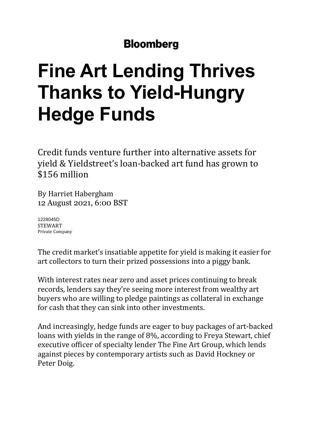## **Bloomberg**

## **Fine Art Lending Thrives Thanks to Yield-Hungry Hedge Funds**

Credit funds venture further into alternative assets for yield & Yieldstreet's loan-backed art fund has grown to \$156 million

By Harriet [Habergham](https://www.bloomberg.com/authors/AVTFhwOYJAk/harriet-habergham) 12 August 2021, 6:00 BST

[1228045D](https://www.bloomberg.com/quote/1228045D:US) [STEWART](https://www.bloomberg.com/quote/1228045D:US) Private [Company](https://www.bloomberg.com/quote/1228045D:US)

The credit market's insatiable appetite for yield is making it easier for art collectors to turn their prized possessions into a piggy bank.

With interest rates near zero and asset prices continuing to break records, lenders say they're seeing more interest from wealthy art buyers who are willing to pledge paintings as collateral in exchange for cash that they can sink into other investments.

And increasingly, hedge funds are eager to buy packages of art-backed loans with yields in the range of 8%, according to Freya Stewart, chief executive officer of specialty lender The Fine Art Group, which lends against pieces by contemporary artists such as David Hockney or Peter Doig.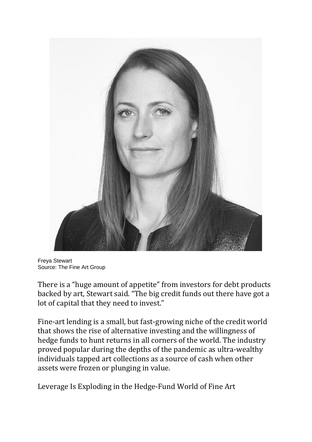

Freya Stewart Source: The Fine Art Group

There is a "huge amount of appetite" from investors for debt products backed by art, Stewart said. "The big credit funds out there have got a lot of capital that they need to invest."

Fine-art lending is a small, but fast-growing niche of the credit world that shows the rise of alternative investing and the willingness of hedge funds to hunt returns in all corners of the world. The industry proved popular during the depths of the pandemic as ultra-wealthy individuals tapped art collections as a source of cash when other assets were frozen or plunging in value.

Leverage Is Exploding in the [Hedge-Fund](https://www.bloomberg.com/news/articles/2020-02-05/leverage-is-exploding-in-the-fine-art-world) World of Fine Art